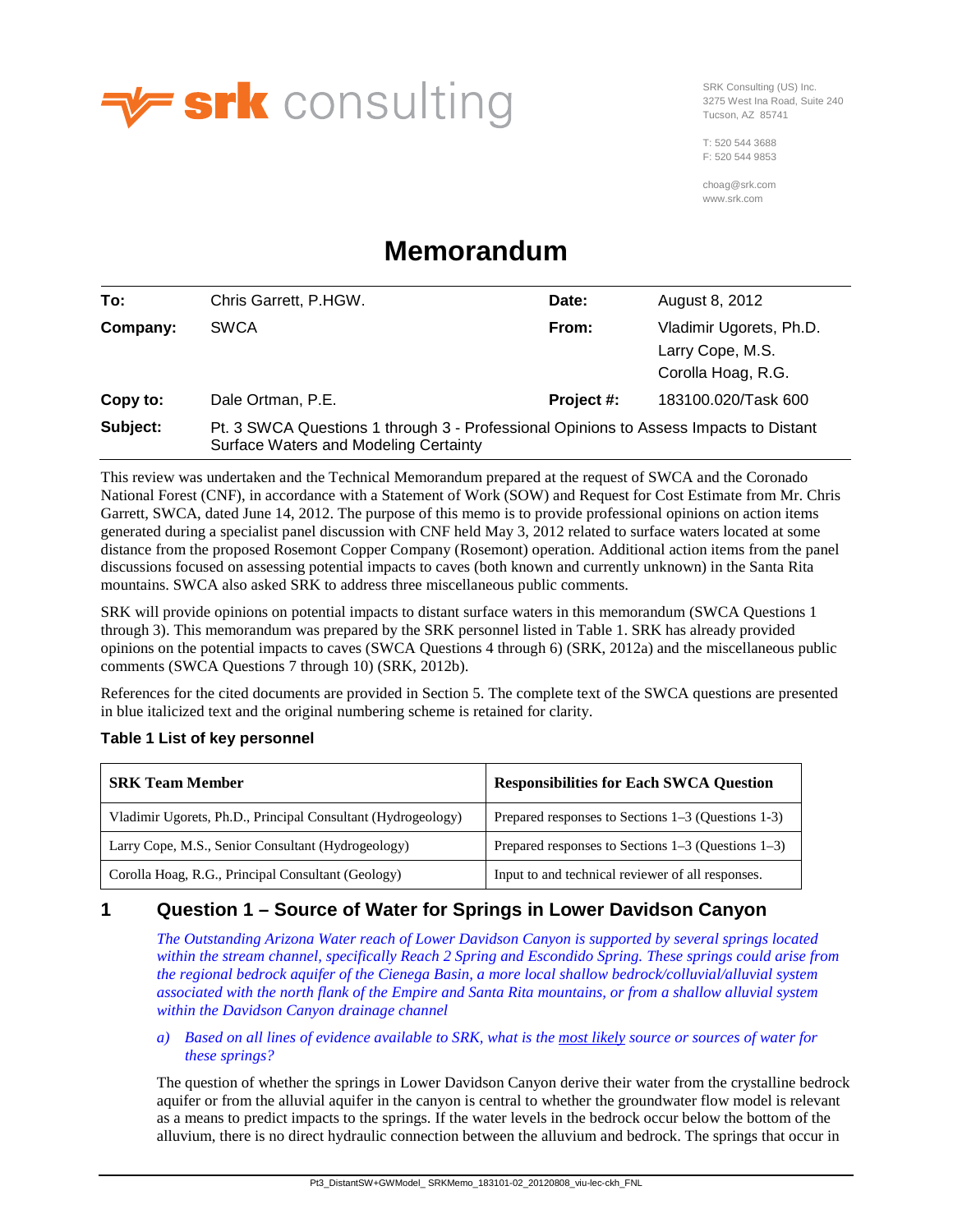

SRK Consulting (US) Inc. 3275 West Ina Road, Suite 240 Tucson, AZ 85741

T: 520 544 3688 F: 520 544 9853

choag@srk.com www.srk.com

# **Memorandum**

| To:      | Chris Garrett, P.HGW.                                                                                                          | Date:      | August 8, 2012                                                    |
|----------|--------------------------------------------------------------------------------------------------------------------------------|------------|-------------------------------------------------------------------|
| Company: | <b>SWCA</b>                                                                                                                    | From:      | Vladimir Ugorets, Ph.D.<br>Larry Cope, M.S.<br>Corolla Hoag, R.G. |
| Copy to: | Dale Ortman, P.E.                                                                                                              | Project #: | 183100.020/Task 600                                               |
| Subject: | Pt. 3 SWCA Questions 1 through 3 - Professional Opinions to Assess Impacts to Distant<br>Surface Waters and Modeling Certainty |            |                                                                   |

This review was undertaken and the Technical Memorandum prepared at the request of SWCA and the Coronado National Forest (CNF), in accordance with a Statement of Work (SOW) and Request for Cost Estimate from Mr. Chris Garrett, SWCA, dated June 14, 2012. The purpose of this memo is to provide professional opinions on action items generated during a specialist panel discussion with CNF held May 3, 2012 related to surface waters located at some distance from the proposed Rosemont Copper Company (Rosemont) operation. Additional action items from the panel discussions focused on assessing potential impacts to caves (both known and currently unknown) in the Santa Rita mountains. SWCA also asked SRK to address three miscellaneous public comments.

SRK will provide opinions on potential impacts to distant surface waters in this memorandum (SWCA Questions 1 through 3). This memorandum was prepared by the SRK personnel listed i[n Table 1.](#page-0-0) SRK has already provided opinions on the potential impacts to caves (SWCA Questions 4 through 6) (SRK, 2012a) and the miscellaneous public comments (SWCA Questions 7 through 10) (SRK, 2012b).

References for the cited documents are provided in Section [5.](#page-5-0) The complete text of the SWCA questions are presented in blue italicized text and the original numbering scheme is retained for clarity.

# <span id="page-0-0"></span>**Table 1 List of key personnel**

| <b>SRK Team Member</b>                                       | <b>Responsibilities for Each SWCA Question</b>          |  |
|--------------------------------------------------------------|---------------------------------------------------------|--|
| Vladimir Ugorets, Ph.D., Principal Consultant (Hydrogeology) | Prepared responses to Sections 1–3 (Questions 1-3)      |  |
| Larry Cope, M.S., Senior Consultant (Hydrogeology)           | Prepared responses to Sections $1-3$ (Questions $1-3$ ) |  |
| Corolla Hoag, R.G., Principal Consultant (Geology)           | Input to and technical reviewer of all responses.       |  |

# **1 Question 1 – Source of Water for Springs in Lower Davidson Canyon**

*The Outstanding Arizona Water reach of Lower Davidson Canyon is supported by several springs located within the stream channel, specifically Reach 2 Spring and Escondido Spring. These springs could arise from the regional bedrock aquifer of the Cienega Basin, a more local shallow bedrock/colluvial/alluvial system associated with the north flank of the Empire and Santa Rita mountains, or from a shallow alluvial system within the Davidson Canyon drainage channel* 

*a) Based on all lines of evidence available to SRK, what is the most likely source or sources of water for these springs?*

The question of whether the springs in Lower Davidson Canyon derive their water from the crystalline bedrock aquifer or from the alluvial aquifer in the canyon is central to whether the groundwater flow model is relevant as a means to predict impacts to the springs. If the water levels in the bedrock occur below the bottom of the alluvium, there is no direct hydraulic connection between the alluvium and bedrock. The springs that occur in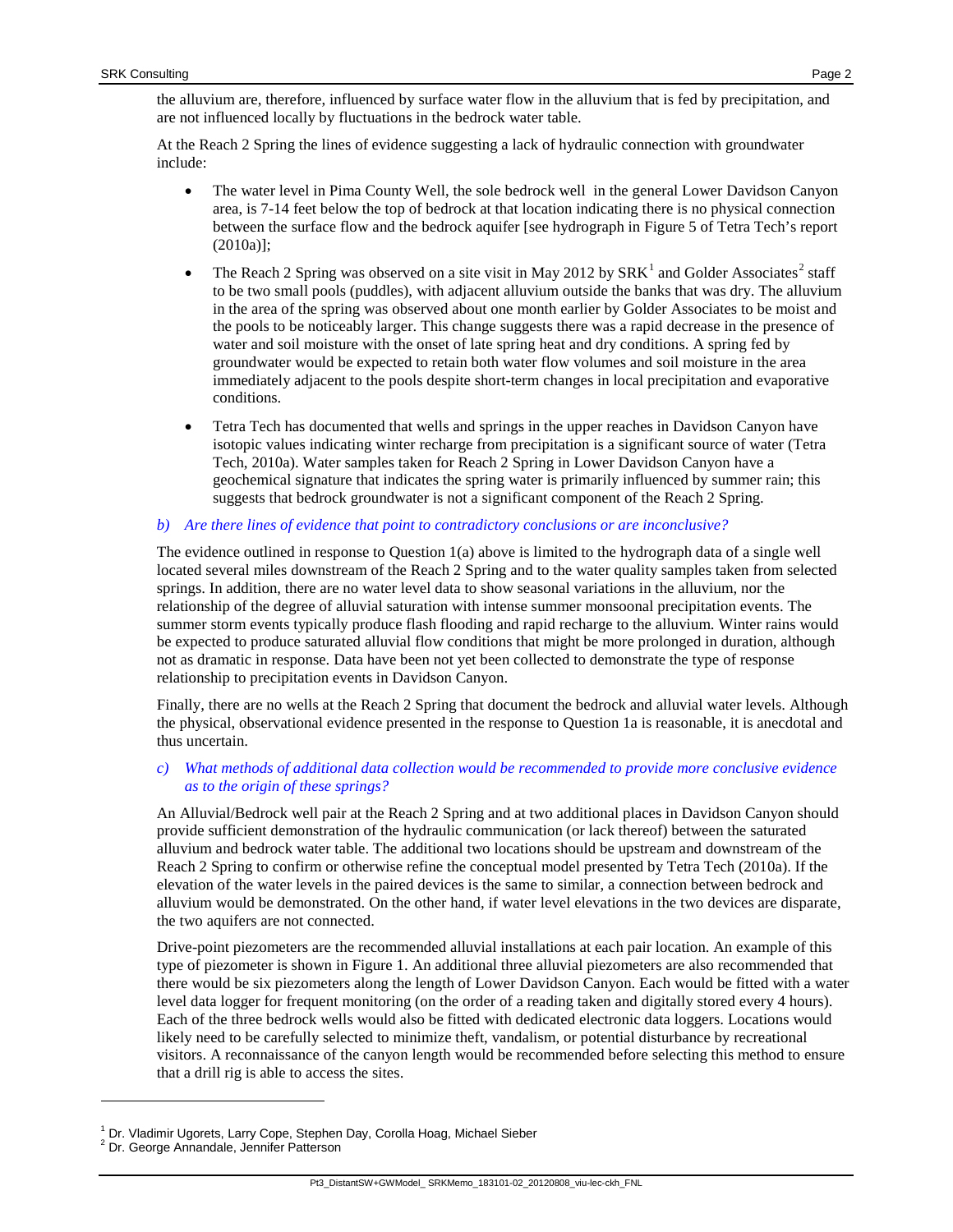the alluvium are, therefore, influenced by surface water flow in the alluvium that is fed by precipitation, and are not influenced locally by fluctuations in the bedrock water table.

At the Reach 2 Spring the lines of evidence suggesting a lack of hydraulic connection with groundwater include:

- The water level in Pima County Well, the sole bedrock well in the general Lower Davidson Canyon area, is 7-14 feet below the top of bedrock at that location indicating there is no physical connection between the surface flow and the bedrock aquifer [see hydrograph in Figure 5 of Tetra Tech's report (2010a)];
- The Reach 2 Spring was observed on a site visit in May 20[1](#page-1-0)[2](#page-1-1) by  $SRK<sup>1</sup>$  and Golder Associates<sup>2</sup> staff to be two small pools (puddles), with adjacent alluvium outside the banks that was dry. The alluvium in the area of the spring was observed about one month earlier by Golder Associates to be moist and the pools to be noticeably larger. This change suggests there was a rapid decrease in the presence of water and soil moisture with the onset of late spring heat and dry conditions. A spring fed by groundwater would be expected to retain both water flow volumes and soil moisture in the area immediately adjacent to the pools despite short-term changes in local precipitation and evaporative conditions.
- Tetra Tech has documented that wells and springs in the upper reaches in Davidson Canyon have isotopic values indicating winter recharge from precipitation is a significant source of water (Tetra Tech, 2010a). Water samples taken for Reach 2 Spring in Lower Davidson Canyon have a geochemical signature that indicates the spring water is primarily influenced by summer rain; this suggests that bedrock groundwater is not a significant component of the Reach 2 Spring.

### *b) Are there lines of evidence that point to contradictory conclusions or are inconclusive?*

The evidence outlined in response to Question 1(a) above is limited to the hydrograph data of a single well located several miles downstream of the Reach 2 Spring and to the water quality samples taken from selected springs. In addition, there are no water level data to show seasonal variations in the alluvium, nor the relationship of the degree of alluvial saturation with intense summer monsoonal precipitation events. The summer storm events typically produce flash flooding and rapid recharge to the alluvium. Winter rains would be expected to produce saturated alluvial flow conditions that might be more prolonged in duration, although not as dramatic in response. Data have been not yet been collected to demonstrate the type of response relationship to precipitation events in Davidson Canyon.

Finally, there are no wells at the Reach 2 Spring that document the bedrock and alluvial water levels. Although the physical, observational evidence presented in the response to Question 1a is reasonable, it is anecdotal and thus uncertain.

### *c) What methods of additional data collection would be recommended to provide more conclusive evidence as to the origin of these springs?*

An Alluvial/Bedrock well pair at the Reach 2 Spring and at two additional places in Davidson Canyon should provide sufficient demonstration of the hydraulic communication (or lack thereof) between the saturated alluvium and bedrock water table. The additional two locations should be upstream and downstream of the Reach 2 Spring to confirm or otherwise refine the conceptual model presented by Tetra Tech (2010a). If the elevation of the water levels in the paired devices is the same to similar, a connection between bedrock and alluvium would be demonstrated. On the other hand, if water level elevations in the two devices are disparate, the two aquifers are not connected.

Drive-point piezometers are the recommended alluvial installations at each pair location. An example of this type of piezometer is shown in [Figure 1.](#page-2-0) An additional three alluvial piezometers are also recommended that there would be six piezometers along the length of Lower Davidson Canyon. Each would be fitted with a water level data logger for frequent monitoring (on the order of a reading taken and digitally stored every 4 hours). Each of the three bedrock wells would also be fitted with dedicated electronic data loggers. Locations would likely need to be carefully selected to minimize theft, vandalism, or potential disturbance by recreational visitors. A reconnaissance of the canyon length would be recommended before selecting this method to ensure that a drill rig is able to access the sites.

-

<span id="page-1-0"></span><sup>&</sup>lt;sup>1</sup> Dr. Vladimir Ugorets, Larry Cope, Stephen Day, Corolla Hoag, Michael Sieber <sup>2</sup> Dr. George Annandale, Jennifer Patterson

<span id="page-1-1"></span>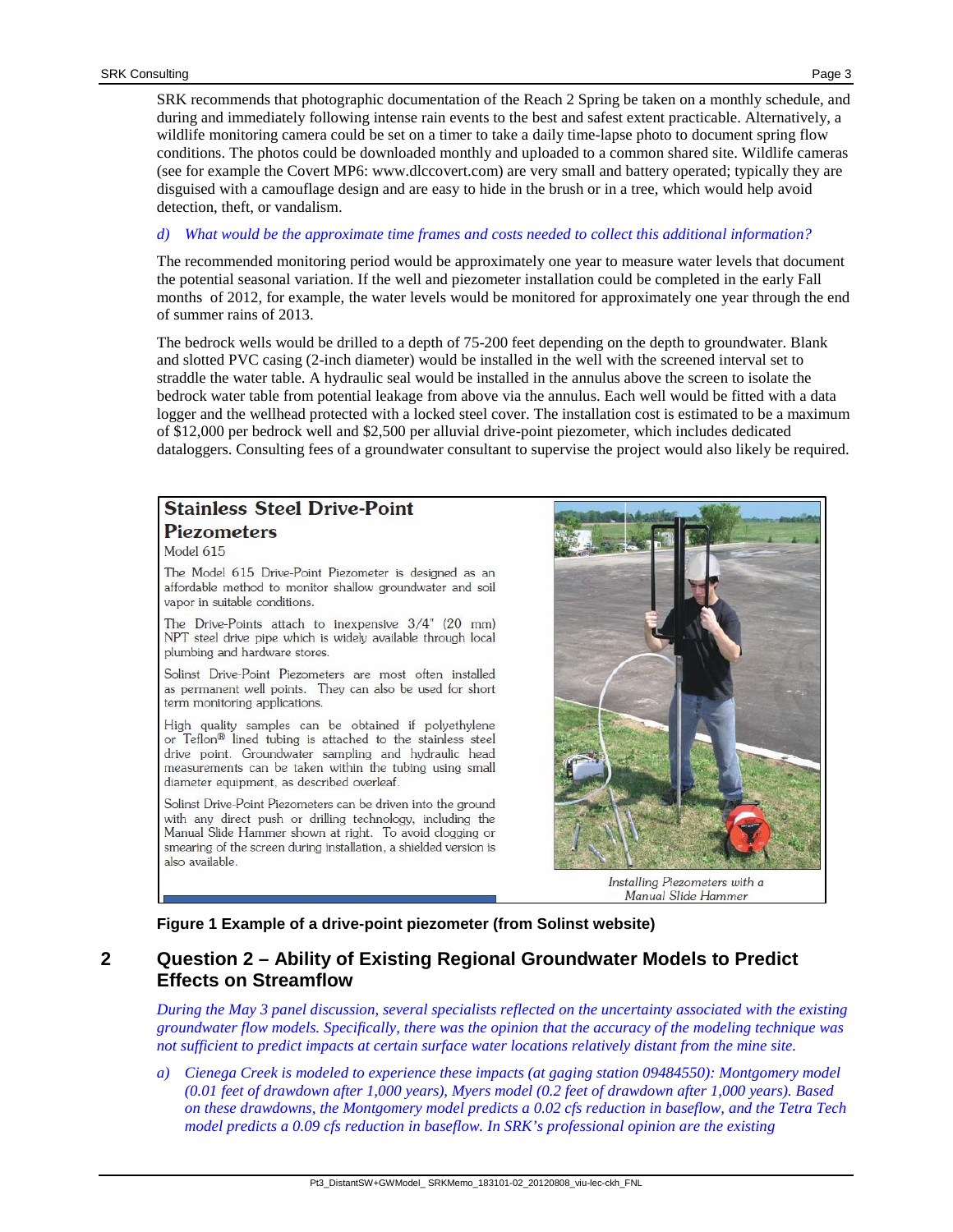SRK recommends that photographic documentation of the Reach 2 Spring be taken on a monthly schedule, and during and immediately following intense rain events to the best and safest extent practicable. Alternatively, a wildlife monitoring camera could be set on a timer to take a daily time-lapse photo to document spring flow conditions. The photos could be downloaded monthly and uploaded to a common shared site. Wildlife cameras (see for example the Covert MP6: www.dlccovert.com) are very small and battery operated; typically they are disguised with a camouflage design and are easy to hide in the brush or in a tree, which would help avoid detection, theft, or vandalism.

#### *d) What would be the approximate time frames and costs needed to collect this additional information?*

The recommended monitoring period would be approximately one year to measure water levels that document the potential seasonal variation. If the well and piezometer installation could be completed in the early Fall months of 2012, for example, the water levels would be monitored for approximately one year through the end of summer rains of 2013.

The bedrock wells would be drilled to a depth of 75-200 feet depending on the depth to groundwater. Blank and slotted PVC casing (2-inch diameter) would be installed in the well with the screened interval set to straddle the water table. A hydraulic seal would be installed in the annulus above the screen to isolate the bedrock water table from potential leakage from above via the annulus. Each well would be fitted with a data logger and the wellhead protected with a locked steel cover. The installation cost is estimated to be a maximum of \$12,000 per bedrock well and \$2,500 per alluvial drive-point piezometer, which includes dedicated dataloggers. Consulting fees of a groundwater consultant to supervise the project would also likely be required.

# **Stainless Steel Drive-Point Piezometers**

Model 615

The Model 615 Drive-Point Piezometer is designed as an affordable method to monitor shallow groundwater and soil vapor in suitable conditions.

The Drive-Points attach to inexpensive 3/4" (20 mm) NPT steel drive pipe which is widely available through local plumbing and hardware stores.

Solinst Drive-Point Piezometers are most often installed as permanent well points. They can also be used for short term monitoring applications.

High quality samples can be obtained if polyethylene or Teflon<sup>®</sup> lined tubing is attached to the stainless steel drive point. Groundwater sampling and hydraulic head measurements can be taken within the tubing using small diameter equipment, as described overleaf.

Solinst Drive-Point Piezometers can be driven into the ground with any direct push or drilling technology, including the Manual Slide Hammer shown at right. To avoid clogging or smearing of the screen during installation, a shielded version is also available.



Installing Piezometers with a Manual Slide Hammer

**Figure 1 Example of a drive-point piezometer (from Solinst website)**

# <span id="page-2-0"></span>**2 Question 2 – Ability of Existing Regional Groundwater Models to Predict Effects on Streamflow**

*During the May 3 panel discussion, several specialists reflected on the uncertainty associated with the existing groundwater flow models. Specifically, there was the opinion that the accuracy of the modeling technique was not sufficient to predict impacts at certain surface water locations relatively distant from the mine site.*

*a) Cienega Creek is modeled to experience these impacts (at gaging station 09484550): Montgomery model (0.01 feet of drawdown after 1,000 years), Myers model (0.2 feet of drawdown after 1,000 years). Based on these drawdowns, the Montgomery model predicts a 0.02 cfs reduction in baseflow, and the Tetra Tech model predicts a 0.09 cfs reduction in baseflow. In SRK's professional opinion are the existing*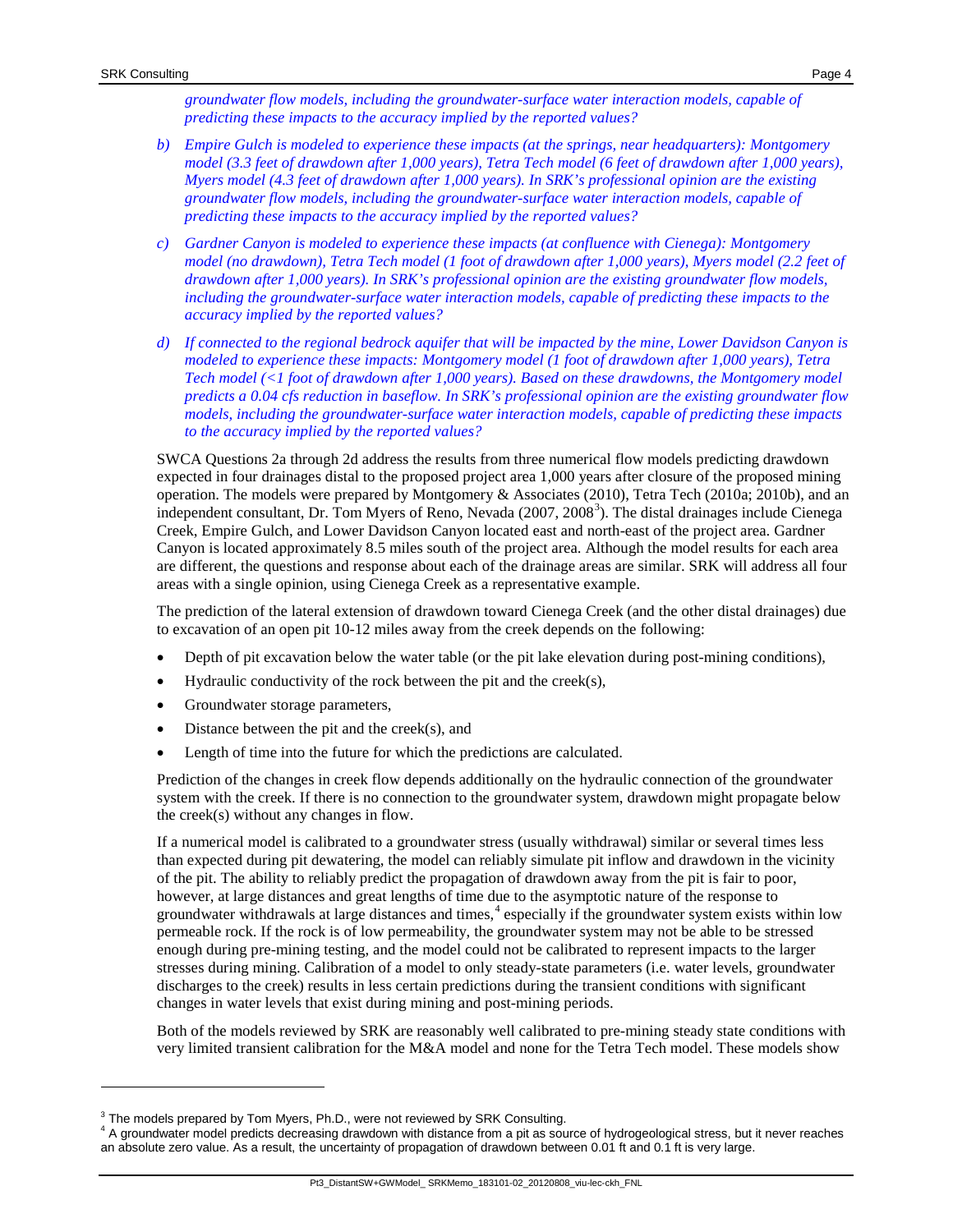- *b) Empire Gulch is modeled to experience these impacts (at the springs, near headquarters): Montgomery model (3.3 feet of drawdown after 1,000 years), Tetra Tech model (6 feet of drawdown after 1,000 years), Myers model (4.3 feet of drawdown after 1,000 years). In SRK's professional opinion are the existing groundwater flow models, including the groundwater-surface water interaction models, capable of predicting these impacts to the accuracy implied by the reported values?*
- *c) Gardner Canyon is modeled to experience these impacts (at confluence with Cienega): Montgomery model (no drawdown), Tetra Tech model (1 foot of drawdown after 1,000 years), Myers model (2.2 feet of drawdown after 1,000 years). In SRK's professional opinion are the existing groundwater flow models, including the groundwater-surface water interaction models, capable of predicting these impacts to the accuracy implied by the reported values?*
- *d) If connected to the regional bedrock aquifer that will be impacted by the mine, Lower Davidson Canyon is modeled to experience these impacts: Montgomery model (1 foot of drawdown after 1,000 years), Tetra Tech model (<1 foot of drawdown after 1,000 years). Based on these drawdowns, the Montgomery model predicts a 0.04 cfs reduction in baseflow. In SRK's professional opinion are the existing groundwater flow models, including the groundwater-surface water interaction models, capable of predicting these impacts to the accuracy implied by the reported values?*

SWCA Questions 2a through 2d address the results from three numerical flow models predicting drawdown expected in four drainages distal to the proposed project area 1,000 years after closure of the proposed mining operation. The models were prepared by Montgomery & Associates (2010), Tetra Tech (2010a; 2010b), and an independent consultant, Dr. Tom Myers of Reno, Nevada (2007, 2008<sup>[3](#page-3-0)</sup>). The distal drainages include Cienega Creek, Empire Gulch, and Lower Davidson Canyon located east and north-east of the project area. Gardner Canyon is located approximately 8.5 miles south of the project area. Although the model results for each area are different, the questions and response about each of the drainage areas are similar. SRK will address all four areas with a single opinion, using Cienega Creek as a representative example.

The prediction of the lateral extension of drawdown toward Cienega Creek (and the other distal drainages) due to excavation of an open pit 10-12 miles away from the creek depends on the following:

- Depth of pit excavation below the water table (or the pit lake elevation during post-mining conditions),
- Hydraulic conductivity of the rock between the pit and the creek $(s)$ ,
- Groundwater storage parameters,
- Distance between the pit and the creek $(s)$ , and
- Length of time into the future for which the predictions are calculated.

Prediction of the changes in creek flow depends additionally on the hydraulic connection of the groundwater system with the creek. If there is no connection to the groundwater system, drawdown might propagate below the creek(s) without any changes in flow.

If a numerical model is calibrated to a groundwater stress (usually withdrawal) similar or several times less than expected during pit dewatering, the model can reliably simulate pit inflow and drawdown in the vicinity of the pit. The ability to reliably predict the propagation of drawdown away from the pit is fair to poor, however, at large distances and great lengths of time due to the asymptotic nature of the response to groundwater withdrawals at large distances and times, [4](#page-3-1) especially if the groundwater system exists within low permeable rock. If the rock is of low permeability, the groundwater system may not be able to be stressed enough during pre-mining testing, and the model could not be calibrated to represent impacts to the larger stresses during mining. Calibration of a model to only steady-state parameters (i.e. water levels, groundwater discharges to the creek) results in less certain predictions during the transient conditions with significant changes in water levels that exist during mining and post-mining periods.

Both of the models reviewed by SRK are reasonably well calibrated to pre-mining steady state conditions with very limited transient calibration for the M&A model and none for the Tetra Tech model. These models show

<span id="page-3-1"></span><span id="page-3-0"></span>

 $^3$  The models prepared by Tom Myers, Ph.D., were not reviewed by SRK Consulting.<br><sup>4</sup> A groundwater model predicts decreasing drawdown with distance from a pit as source of hydrogeological stress, but it never reaches an absolute zero value. As a result, the uncertainty of propagation of drawdown between 0.01 ft and 0.1 ft is very large.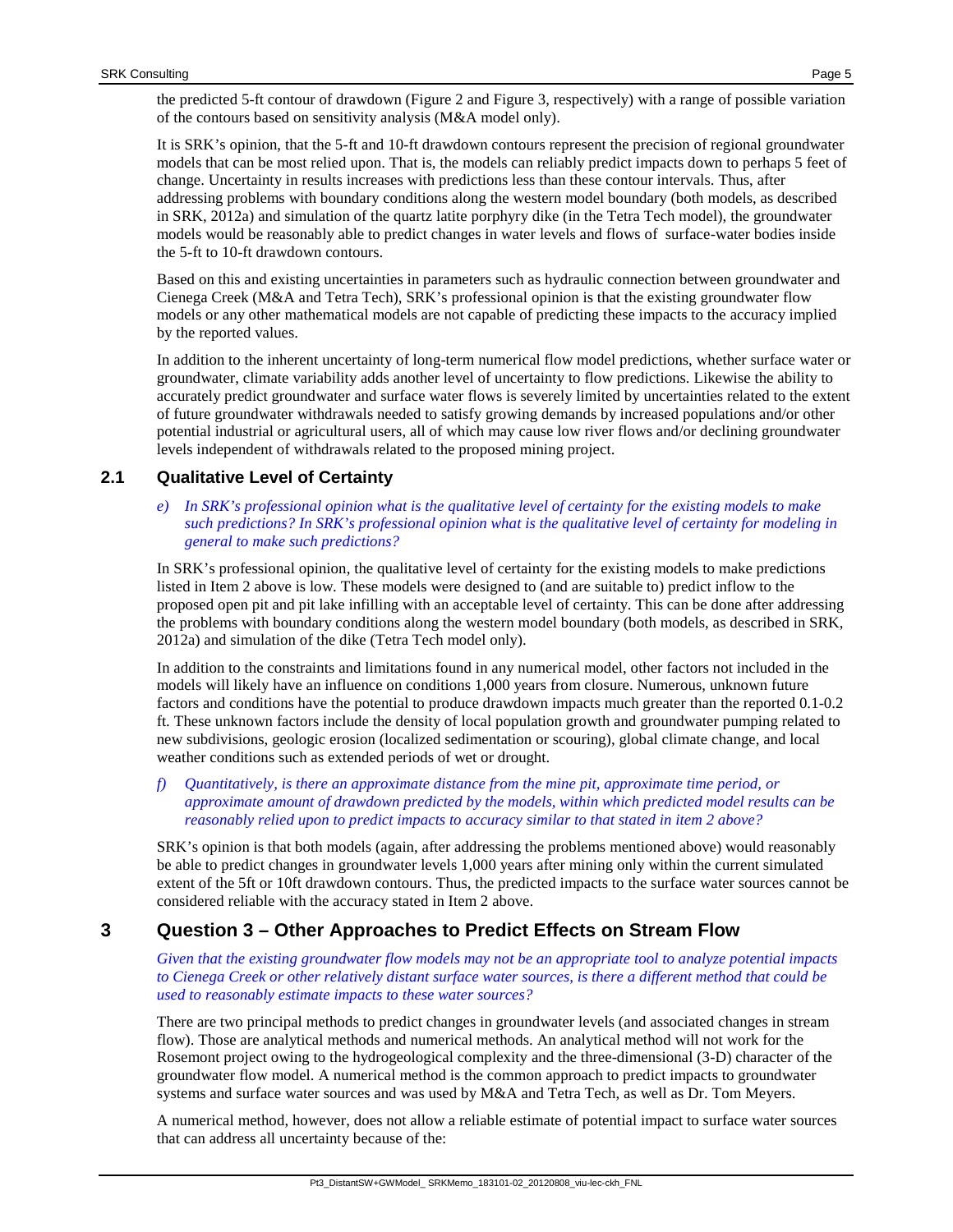the predicted 5-ft contour of drawdown [\(Figure 2](#page-6-0) and [Figure 3,](#page-7-0) respectively) with a range of possible variation of the contours based on sensitivity analysis (M&A model only).

It is SRK's opinion, that the 5-ft and 10-ft drawdown contours represent the precision of regional groundwater models that can be most relied upon. That is, the models can reliably predict impacts down to perhaps 5 feet of change. Uncertainty in results increases with predictions less than these contour intervals. Thus, after addressing problems with boundary conditions along the western model boundary (both models, as described in SRK, 2012a) and simulation of the quartz latite porphyry dike (in the Tetra Tech model), the groundwater models would be reasonably able to predict changes in water levels and flows of surface-water bodies inside the 5-ft to 10-ft drawdown contours.

Based on this and existing uncertainties in parameters such as hydraulic connection between groundwater and Cienega Creek (M&A and Tetra Tech), SRK's professional opinion is that the existing groundwater flow models or any other mathematical models are not capable of predicting these impacts to the accuracy implied by the reported values.

In addition to the inherent uncertainty of long-term numerical flow model predictions, whether surface water or groundwater, climate variability adds another level of uncertainty to flow predictions. Likewise the ability to accurately predict groundwater and surface water flows is severely limited by uncertainties related to the extent of future groundwater withdrawals needed to satisfy growing demands by increased populations and/or other potential industrial or agricultural users, all of which may cause low river flows and/or declining groundwater levels independent of withdrawals related to the proposed mining project.

# **2.1 Qualitative Level of Certainty**

*e) In SRK's professional opinion what is the qualitative level of certainty for the existing models to make such predictions? In SRK's professional opinion what is the qualitative level of certainty for modeling in general to make such predictions?* 

In SRK's professional opinion, the qualitative level of certainty for the existing models to make predictions listed in Item 2 above is low. These models were designed to (and are suitable to) predict inflow to the proposed open pit and pit lake infilling with an acceptable level of certainty. This can be done after addressing the problems with boundary conditions along the western model boundary (both models, as described in SRK, 2012a) and simulation of the dike (Tetra Tech model only).

In addition to the constraints and limitations found in any numerical model, other factors not included in the models will likely have an influence on conditions 1,000 years from closure. Numerous, unknown future factors and conditions have the potential to produce drawdown impacts much greater than the reported 0.1-0.2 ft. These unknown factors include the density of local population growth and groundwater pumping related to new subdivisions, geologic erosion (localized sedimentation or scouring), global climate change, and local weather conditions such as extended periods of wet or drought.

*f) Quantitatively, is there an approximate distance from the mine pit, approximate time period, or approximate amount of drawdown predicted by the models, within which predicted model results can be reasonably relied upon to predict impacts to accuracy similar to that stated in item 2 above?*

SRK's opinion is that both models (again, after addressing the problems mentioned above) would reasonably be able to predict changes in groundwater levels 1,000 years after mining only within the current simulated extent of the 5ft or 10ft drawdown contours. Thus, the predicted impacts to the surface water sources cannot be considered reliable with the accuracy stated in Item 2 above.

# **3 Question 3 – Other Approaches to Predict Effects on Stream Flow**

*Given that the existing groundwater flow models may not be an appropriate tool to analyze potential impacts to Cienega Creek or other relatively distant surface water sources, is there a different method that could be used to reasonably estimate impacts to these water sources?*

There are two principal methods to predict changes in groundwater levels (and associated changes in stream flow). Those are analytical methods and numerical methods. An analytical method will not work for the Rosemont project owing to the hydrogeological complexity and the three-dimensional (3-D) character of the groundwater flow model. A numerical method is the common approach to predict impacts to groundwater systems and surface water sources and was used by M&A and Tetra Tech, as well as Dr. Tom Meyers.

A numerical method, however, does not allow a reliable estimate of potential impact to surface water sources that can address all uncertainty because of the: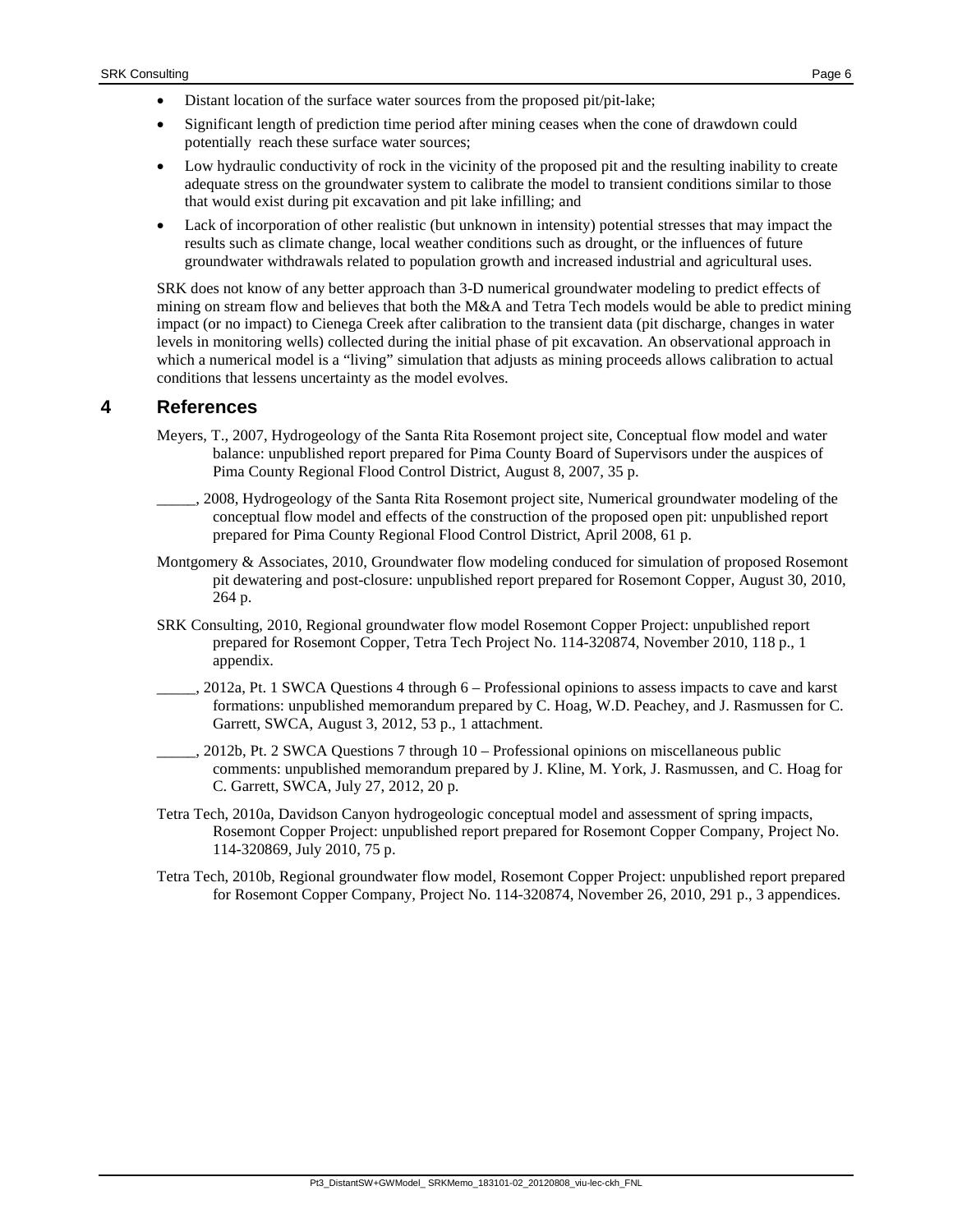- Significant length of prediction time period after mining ceases when the cone of drawdown could potentially reach these surface water sources;
- Low hydraulic conductivity of rock in the vicinity of the proposed pit and the resulting inability to create adequate stress on the groundwater system to calibrate the model to transient conditions similar to those that would exist during pit excavation and pit lake infilling; and
- Lack of incorporation of other realistic (but unknown in intensity) potential stresses that may impact the results such as climate change, local weather conditions such as drought, or the influences of future groundwater withdrawals related to population growth and increased industrial and agricultural uses.

SRK does not know of any better approach than 3-D numerical groundwater modeling to predict effects of mining on stream flow and believes that both the M&A and Tetra Tech models would be able to predict mining impact (or no impact) to Cienega Creek after calibration to the transient data (pit discharge, changes in water levels in monitoring wells) collected during the initial phase of pit excavation. An observational approach in which a numerical model is a "living" simulation that adjusts as mining proceeds allows calibration to actual conditions that lessens uncertainty as the model evolves.

# <span id="page-5-0"></span>**4 References**

- Meyers, T., 2007, Hydrogeology of the Santa Rita Rosemont project site, Conceptual flow model and water balance: unpublished report prepared for Pima County Board of Supervisors under the auspices of Pima County Regional Flood Control District, August 8, 2007, 35 p.
- \_\_\_\_\_, 2008, Hydrogeology of the Santa Rita Rosemont project site, Numerical groundwater modeling of the conceptual flow model and effects of the construction of the proposed open pit: unpublished report prepared for Pima County Regional Flood Control District, April 2008, 61 p.
- Montgomery & Associates, 2010, Groundwater flow modeling conduced for simulation of proposed Rosemont pit dewatering and post-closure: unpublished report prepared for Rosemont Copper, August 30, 2010, 264 p.
- SRK Consulting, 2010, Regional groundwater flow model Rosemont Copper Project: unpublished report prepared for Rosemont Copper, Tetra Tech Project No. 114-320874, November 2010, 118 p., 1 appendix.
- \_\_\_\_\_, 2012a, Pt. 1 SWCA Questions 4 through 6 Professional opinions to assess impacts to cave and karst formations: unpublished memorandum prepared by C. Hoag, W.D. Peachey, and J. Rasmussen for C. Garrett, SWCA, August 3, 2012, 53 p., 1 attachment.
- \_\_\_\_\_, 2012b, Pt. 2 SWCA Questions 7 through 10 Professional opinions on miscellaneous public comments: unpublished memorandum prepared by J. Kline, M. York, J. Rasmussen, and C. Hoag for C. Garrett, SWCA, July 27, 2012, 20 p.
- Tetra Tech, 2010a, Davidson Canyon hydrogeologic conceptual model and assessment of spring impacts, Rosemont Copper Project: unpublished report prepared for Rosemont Copper Company, Project No. 114-320869, July 2010, 75 p.
- Tetra Tech, 2010b, Regional groundwater flow model, Rosemont Copper Project: unpublished report prepared for Rosemont Copper Company, Project No. 114-320874, November 26, 2010, 291 p., 3 appendices.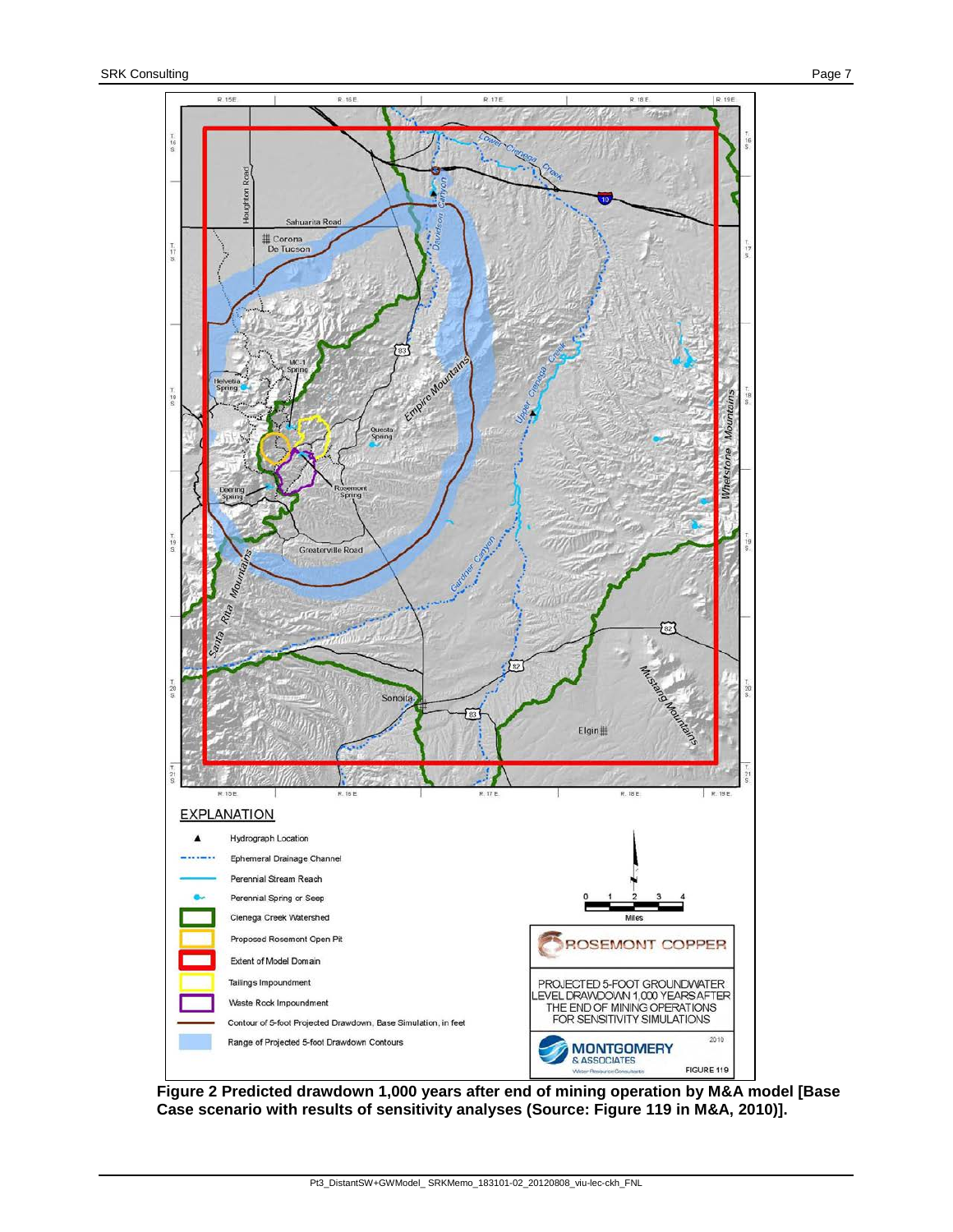

<span id="page-6-0"></span>**Figure 2 Predicted drawdown 1,000 years after end of mining operation by M&A model [Base Case scenario with results of sensitivity analyses (Source: Figure 119 in M&A, 2010)].**